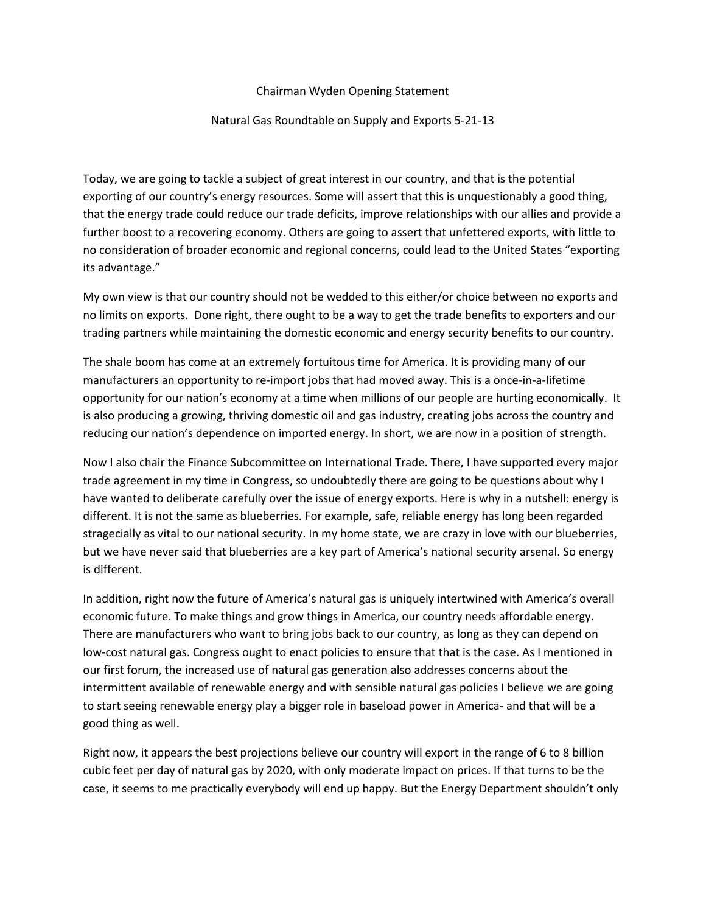## Chairman Wyden Opening Statement

## Natural Gas Roundtable on Supply and Exports 5-21-13

Today, we are going to tackle a subject of great interest in our country, and that is the potential exporting of our country's energy resources. Some will assert that this is unquestionably a good thing, that the energy trade could reduce our trade deficits, improve relationships with our allies and provide a further boost to a recovering economy. Others are going to assert that unfettered exports, with little to no consideration of broader economic and regional concerns, could lead to the United States "exporting its advantage."

My own view is that our country should not be wedded to this either/or choice between no exports and no limits on exports. Done right, there ought to be a way to get the trade benefits to exporters and our trading partners while maintaining the domestic economic and energy security benefits to our country.

The shale boom has come at an extremely fortuitous time for America. It is providing many of our manufacturers an opportunity to re-import jobs that had moved away. This is a once-in-a-lifetime opportunity for our nation's economy at a time when millions of our people are hurting economically. It is also producing a growing, thriving domestic oil and gas industry, creating jobs across the country and reducing our nation's dependence on imported energy. In short, we are now in a position of strength.

Now I also chair the Finance Subcommittee on International Trade. There, I have supported every major trade agreement in my time in Congress, so undoubtedly there are going to be questions about why I have wanted to deliberate carefully over the issue of energy exports. Here is why in a nutshell: energy is different. It is not the same as blueberries. For example, safe, reliable energy has long been regarded stragecially as vital to our national security. In my home state, we are crazy in love with our blueberries, but we have never said that blueberries are a key part of America's national security arsenal. So energy is different.

In addition, right now the future of America's natural gas is uniquely intertwined with America's overall economic future. To make things and grow things in America, our country needs affordable energy. There are manufacturers who want to bring jobs back to our country, as long as they can depend on low-cost natural gas. Congress ought to enact policies to ensure that that is the case. As I mentioned in our first forum, the increased use of natural gas generation also addresses concerns about the intermittent available of renewable energy and with sensible natural gas policies I believe we are going to start seeing renewable energy play a bigger role in baseload power in America- and that will be a good thing as well.

Right now, it appears the best projections believe our country will export in the range of 6 to 8 billion cubic feet per day of natural gas by 2020, with only moderate impact on prices. If that turns to be the case, it seems to me practically everybody will end up happy. But the Energy Department shouldn't only